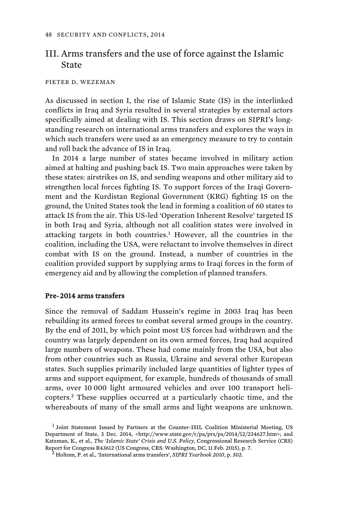# III. Arms transfers and the use of force against the Islamic State

### PIETER D. WEZEMAN

As discussed in section I, the rise of Islamic State (IS) in the interlinked conflicts in Iraq and Syria resulted in several strategies by external actors specifically aimed at dealing with IS. This section draws on SIPRI's longstanding research on international arms transfers and explores the ways in which such transfers were used as an emergency measure to try to contain and roll back the advance of IS in Iraq.

In 2014 a large number of states became involved in military action aimed at halting and pushing back IS. Two main approaches were taken by these states: airstrikes on IS, and sending weapons and other military aid to strengthen local forces fighting IS. To support forces of the Iraqi Government and the Kurdistan Regional Government (KRG) fighting IS on the ground, the United States took the lead in forming a coalition of 60 states to attack IS from the air. This US-led 'Operation Inherent Resolve' targeted IS in both Iraq and Syria, although not all coalition states were involved in attacking targets in both countries.<sup>1</sup> However, all the countries in the coalition, including the USA, were reluctant to involve themselves in direct combat with IS on the ground. Instead, a number of countries in the coalition provided support by supplying arms to Iraqi forces in the form of emergency aid and by allowing the completion of planned transfers.

## Pre-2014 arms transfers

Since the removal of Saddam Hussein's regime in 2003 Iraq has been rebuilding its armed forces to combat several armed groups in the country. By the end of 2011, by which point most US forces had withdrawn and the country was largely dependent on its own armed forces, Iraq had acquired large numbers of weapons. These had come mainly from the USA, but also from other countries such as Russia, Ukraine and several other European states. Such supplies primarily included large quantities of lighter types of arms and support equipment, for example, hundreds of thousands of small arms, over 10 000 light armoured vehicles and over 100 transport helicopters.<sup>2</sup> These supplies occurred at a particularly chaotic time, and the whereabouts of many of the small arms and light weapons are unknown.

<sup>&</sup>lt;sup>1</sup> Joint Statement Issued by Partners at the Counter-ISIL Coalition Ministerial Meeting, US Department of State, 3 Dec. 2014, <http://www.state.gov/r/pa/prs/ps/2014/12/234627.htm>; and Katzman, K., et al., *The 'Islamic State' Crisis and U.S. Policy*, Congressional Research Service (CRS) Report for Congress R43612 (US Congress, CRS: Washington, DC, 11 Feb. 2015), p. 7. 2 Holtom, P. et al., 'International arms transfers', *SIPRI Yearbook <sup>2010</sup>*, p. 302.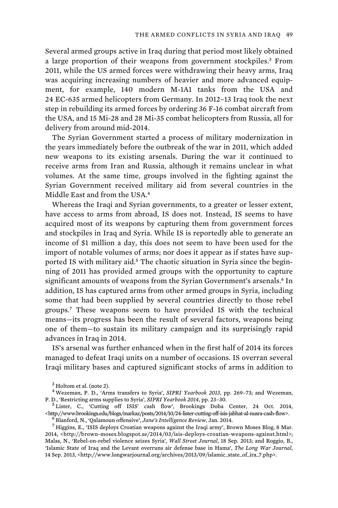Several armed groups active in Iraq during that period most likely obtained a large proportion of their weapons from government stockpiles.<sup>3</sup> From 2011, while the US armed forces were withdrawing their heavy arms, Iraq was acquiring increasing numbers of heavier and more advanced equipment, for example, 140 modern M-1A1 tanks from the USA and 24 EC-635 armed helicopters from Germany. In 2012–13 Iraq took the next step in rebuilding its armed forces by ordering 36 F-16 combat aircraft from the USA, and 15 Mi-28 and 28 Mi-35 combat helicopters from Russia, all for delivery from around mid-2014.

The Syrian Government started a process of military modernization in the years immediately before the outbreak of the war in 2011, which added new weapons to its existing arsenals. During the war it continued to receive arms from Iran and Russia, although it remains unclear in what volumes. At the same time, groups involved in the fighting against the Syrian Government received military aid from several countries in the Middle East and from the USA.<sup>4</sup>

Whereas the Iraqi and Syrian governments, to a greater or lesser extent, have access to arms from abroad, IS does not. Instead, IS seems to have acquired most of its weapons by capturing them from government forces and stockpiles in Iraq and Syria. While IS is reportedly able to generate an income of \$1 million a day, this does not seem to have been used for the import of notable volumes of arms; nor does it appear as if states have supported IS with military aid.<sup>5</sup> The chaotic situation in Syria since the beginning of 2011 has provided armed groups with the opportunity to capture significant amounts of weapons from the Syrian Government's arsenals.<sup>6</sup> In addition, IS has captured arms from other armed groups in Syria, including some that had been supplied by several countries directly to those rebel groups.<sup>7</sup> These weapons seem to have provided IS with the technical means—its progress has been the result of several factors, weapons being one of them—to sustain its military campaign and its surprisingly rapid advances in Iraq in 2014.

IS's arsenal was further enhanced when in the first half of 2014 its forces managed to defeat Iraqi units on a number of occasions. IS overran several Iraqi military bases and captured significant stocks of arms in addition to

<http://www.brookings.edu/blogs/markaz/posts/2014/10/24-lister-cutting-off-isis-jabhat-al-nusra-cash-flow>.<br><sup>6</sup> Blanford, N., 'Qalamoun offensive', Jane's Intelligence Review, Jan. 2014.<br><sup>7</sup> Higgins, E., 'ISIS deploys Croa

2014, <http://brown-moses.blogspot.se/2014/03/isis-deploys-croatian-weapons-against.html>; Malas, N., 'Rebel-on-rebel violence seizes Syria', *Wall Street Journal*, 18 Sep. 2013; and Roggio, B., 'Islamic State of Iraq and the Levant overruns air defense base in Hama', *The Long War Journal*, 14 Sep. 2013, <http://www.longwarjournal.org/archives/2013/09/islamic\_state\_of\_ira\_7.php>.

 $^3$  Holtom et al. (note 2).

<sup>4</sup>Wezeman, P. D., 'Arms transfers to Syria', *SIPRI Yearbook 2013*, pp. 269–73; and Wezeman, P. D., 'Restricting arms supplies to Syria', *SIPRI Yearbook 2014*, pp. 23–30. 5 Lister, C., 'Cutting off ISIS' cash flow', Brookings Doha Center, 24 Oct. 2014,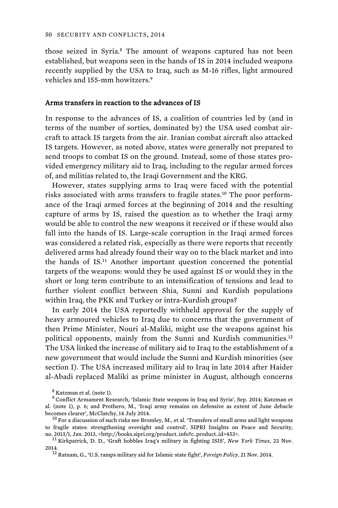those seized in Syria.<sup>8</sup> The amount of weapons captured has not been established, but weapons seen in the hands of IS in 2014 included weapons recently supplied by the USA to Iraq, such as M-16 rifles, light armoured vehicles and 155-mm howitzers.<sup>9</sup>

## Arms transfers in reaction to the advances of IS

In response to the advances of IS, a coalition of countries led by (and in terms of the number of sorties, dominated by) the USA used combat aircraft to attack IS targets from the air. Iranian combat aircraft also attacked IS targets. However, as noted above, states were generally not prepared to send troops to combat IS on the ground. Instead, some of those states provided emergency military aid to Iraq, including to the regular armed forces of, and militias related to, the Iraqi Government and the KRG.

However, states supplying arms to Iraq were faced with the potential risks associated with arms transfers to fragile states.10 The poor performance of the Iraqi armed forces at the beginning of 2014 and the resulting capture of arms by IS, raised the question as to whether the Iraqi army would be able to control the new weapons it received or if these would also fall into the hands of IS. Large-scale corruption in the Iraqi armed forces was considered a related risk, especially as there were reports that recently delivered arms had already found their way on to the black market and into the hands of IS.<sup>11</sup> Another important question concerned the potential targets of the weapons: would they be used against IS or would they in the short or long term contribute to an intensification of tensions and lead to further violent conflict between Shia, Sunni and Kurdish populations within Iraq, the PKK and Turkey or intra-Kurdish groups?

In early 2014 the USA reportedly withheld approval for the supply of heavy armoured vehicles to Iraq due to concerns that the government of then Prime Minister, Nouri al-Maliki, might use the weapons against his political opponents, mainly from the Sunni and Kurdish communities.<sup>12</sup> The USA linked the increase of military aid to Iraq to the establishment of a new government that would include the Sunni and Kurdish minorities (see section I). The USA increased military aid to Iraq in late 2014 after Haider al-Abadi replaced Maliki as prime minister in August, although concerns

<sup>&</sup>lt;sup>8</sup> Katzman et al. (note 1).

<sup>&</sup>lt;sup>9</sup> Conflict Armament Research, 'Islamic State weapons in Iraq and Syria', Sep. 2014; Katzman et al. (note 1), p. 6; and Prothero, M., 'Iraqi army remains on defensive as extent of June debacle becomes clearer', McClatchy, 14 July 2014.<br> $^{10}$  For a discussion of such risks see Bromley, M., et al. 'Transfers of small arms and light weapons

to fragile states: strengthening oversight and control', SIPRI Insights on Peace and Security, no. 2013/1, Jan. 2013, <http://books.sipri.org/product\_info?c\_product\_id=453>.

<sup>&</sup>lt;sup>11</sup> Kirkpatrick, D. D., 'Graft hobbles Iraq's military in fighting ISIS', *New York Times*, 23 Nov. 2014. 12 Ratnam, G., 'U.S. ramps military aid for Islamic state fight', *Foreign Policy*, 21 Nov. 2014.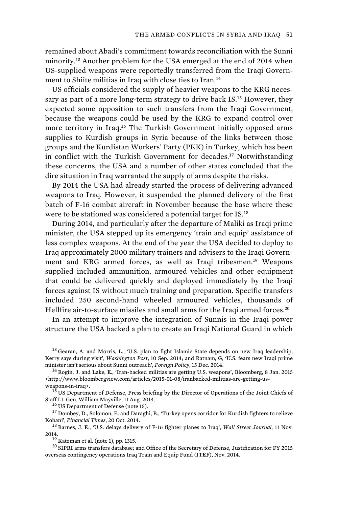remained about Abadi's commitment towards reconciliation with the Sunni minority.<sup>13</sup> Another problem for the USA emerged at the end of 2014 when US-supplied weapons were reportedly transferred from the Iraqi Government to Shiite militias in Iraq with close ties to Iran.<sup>14</sup>

US officials considered the supply of heavier weapons to the KRG necessary as part of a more long-term strategy to drive back IS.<sup>15</sup> However, they expected some opposition to such transfers from the Iraqi Government, because the weapons could be used by the KRG to expand control over more territory in Iraq.<sup>16</sup> The Turkish Government initially opposed arms supplies to Kurdish groups in Syria because of the links between those groups and the Kurdistan Workers' Party (PKK) in Turkey, which has been in conflict with the Turkish Government for decades.<sup>17</sup> Notwithstanding these concerns, the USA and a number of other states concluded that the dire situation in Iraq warranted the supply of arms despite the risks.

By 2014 the USA had already started the process of delivering advanced weapons to Iraq. However, it suspended the planned delivery of the first batch of F-16 combat aircraft in November because the base where these were to be stationed was considered a potential target for IS.<sup>18</sup>

During 2014, and particularly after the departure of Maliki as Iraqi prime minister, the USA stepped up its emergency 'train and equip' assistance of less complex weapons. At the end of the year the USA decided to deploy to Iraq approximately 2000 military trainers and advisers to the Iraqi Government and KRG armed forces, as well as Iraqi tribesmen.<sup>19</sup> Weapons supplied included ammunition, armoured vehicles and other equipment that could be delivered quickly and deployed immediately by the Iraqi forces against IS without much training and preparation. Specific transfers included 250 second-hand wheeled armoured vehicles, thousands of Hellfire air-to-surface missiles and small arms for the Iraqi armed forces.<sup>20</sup>

In an attempt to improve the integration of Sunnis in the Iraqi power structure the USA backed a plan to create an Iraqi National Guard in which

weapons-in-iraq>. 15 US Department of Defense, Press briefing by the Director of Operations of the Joint Chiefs of

Staff Lt. Gen. William Mayville, 11 Aug. 2014.<br><sup>16</sup> US Department of Defense (note 15). <sup>17</sup> Dombey, D., Solomon, E. and Daraghi, B., 'Turkey opens corridor for Kurdish fighters to relieve<br>Kobani', *Financial Times*, 20 Oc

<sup>18</sup> Barnes, J. E., 'U.S. delays delivery of F-16 fighter planes to Iraq', *Wall Street Journal*, 11 Nov.

2014. 19<br><sup>19</sup> Katzman et al. (note 1), pp. 1315. 20 SIPRI arms transfers database; and Office of the Secretary of Defense, Justification for FY 2015 overseas contingency operations Iraq Train and Equip Fund (ITEF), Nov. 2014.

<sup>&</sup>lt;sup>13</sup> Gearan, A. and Morris, L., 'U.S. plan to fight Islamic State depends on new Iraq leadership, Kerry says during visit', *Washington Post*, 10 Sep. 2014; and Ratnam, G, 'U.S. fears new Iraqi prime

<sup>&</sup>lt;sup>14</sup> Rogin, J. and Lake, E., 'Iran-backed militias are getting U.S. weapons', Bloomberg, 8 Jan. 2015 <http://www.bloombergview.com/articles/2015-01-08/iranbacked-militias-are-getting-us-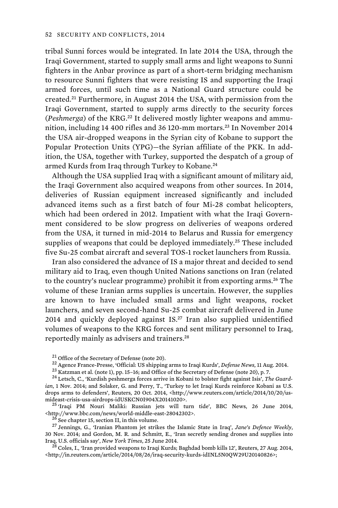tribal Sunni forces would be integrated. In late 2014 the USA, through the Iraqi Government, started to supply small arms and light weapons to Sunni fighters in the Anbar province as part of a short-term bridging mechanism to resource Sunni fighters that were resisting IS and supporting the Iraqi armed forces, until such time as a National Guard structure could be created.<sup>21</sup> Furthermore, in August 2014 the USA, with permission from the Iraqi Government, started to supply arms directly to the security forces (*Peshmerga*) of the KRG.<sup>22</sup> It delivered mostly lighter weapons and ammunition, including 14 400 rifles and 36 120-mm mortars.<sup>23</sup> In November 2014 the USA air-dropped weapons in the Syrian city of Kobane to support the Popular Protection Units (YPG)—the Syrian affiliate of the PKK. In addition, the USA, together with Turkey, supported the despatch of a group of armed Kurds from Iraq through Turkey to Kobane.<sup>24</sup>

Although the USA supplied Iraq with a significant amount of military aid, the Iraqi Government also acquired weapons from other sources. In 2014, deliveries of Russian equipment increased significantly and included advanced items such as a first batch of four Mi-28 combat helicopters, which had been ordered in 2012. Impatient with what the Iraqi Government considered to be slow progress on deliveries of weapons ordered from the USA, it turned in mid-2014 to Belarus and Russia for emergency supplies of weapons that could be deployed immediately.<sup>25</sup> These included five Su-25 combat aircraft and several TOS-1 rocket launchers from Russia.

Iran also considered the advance of IS a major threat and decided to send military aid to Iraq, even though United Nations sanctions on Iran (related to the country's nuclear programme) prohibit it from exporting arms.<sup>26</sup> The volume of these Iranian arms supplies is uncertain. However, the supplies are known to have included small arms and light weapons, rocket launchers, and seven second-hand Su-25 combat aircraft delivered in June 2014 and quickly deployed against IS.<sup>27</sup> Iran also supplied unidentified volumes of weapons to the KRG forces and sent military personnel to Iraq, reportedly mainly as advisers and trainers.<sup>28</sup>

<sup>26</sup> See chapter 15, section II, in this volume.<br><sup>27</sup> Jennings, G., 'Iranian Phantom jet strikes the Islamic State in Iraq', *Jane's Defence Weekly*, 30 Nov. 2014; and Gordon, M. R. and Schmitt, E., 'Iran secretly sending drones and supplies into Iraq, U.S. officials say', *New York Times*, 25 June 2014. 28 Coles, I., 'Iran provided weapons to Iraqi Kurds; Baghdad bomb kills 12', Reuters, 27 Aug. 2014,

<http://in.reuters.com/article/2014/08/26/iraq-security-kurds-idINL5N0QW29U20140826>;

<sup>&</sup>lt;sup>21</sup> Office of the Secretary of Defense (note 20).<br><sup>22</sup> Agence France-Presse, 'Official: US shipping arms to Iraqi Kurds', *Defense News*, 11 Aug. 2014.<br><sup>23</sup> Katzman et al. (note 1), pp. 15–16; and Office of the Secretary

*ian*, 1 Nov. 2014; and Solaker, G. and Perry, T., 'Turkey to let Iraqi Kurds reinforce Kobani as U.S. drops arms to defenders', Reuters, 20 Oct. 2014, <http://www.reuters.com/article/2014/10/20/us-

mideast-crisis-usa-airdrops-idUSKCN0I904X20141020>.<br><sup>25</sup> 'Iraqi PM Nouri Maliki: Russian jets will turn tide', BBC News, 26 June 2014,<br><http://www.bbc.com/news/world-middle-east-28042302>.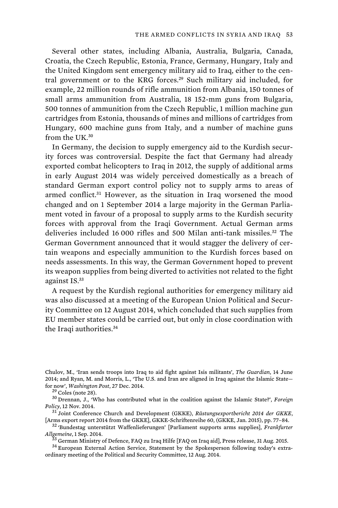Several other states, including Albania, Australia, Bulgaria, Canada, Croatia, the Czech Republic, Estonia, France, Germany, Hungary, Italy and the United Kingdom sent emergency military aid to Iraq, either to the central government or to the KRG forces.<sup>29</sup> Such military aid included, for example, 22 million rounds of rifle ammunition from Albania, 150 tonnes of small arms ammunition from Australia, 18 152-mm guns from Bulgaria, 500 tonnes of ammunition from the Czech Republic, 1 million machine gun cartridges from Estonia, thousands of mines and millions of cartridges from Hungary, 600 machine guns from Italy, and a number of machine guns from the UK.<sup>30</sup>

In Germany, the decision to supply emergency aid to the Kurdish security forces was controversial. Despite the fact that Germany had already exported combat helicopters to Iraq in 2012, the supply of additional arms in early August 2014 was widely perceived domestically as a breach of standard German export control policy not to supply arms to areas of armed conflict.<sup>31</sup> However, as the situation in Iraq worsened the mood changed and on 1 September 2014 a large majority in the German Parliament voted in favour of a proposal to supply arms to the Kurdish security forces with approval from the Iraqi Government. Actual German arms deliveries included 16 000 rifles and 500 Milan anti-tank missiles.<sup>32</sup> The German Government announced that it would stagger the delivery of certain weapons and especially ammunition to the Kurdish forces based on needs assessments. In this way, the German Government hoped to prevent its weapon supplies from being diverted to activities not related to the fight against IS.<sup>33</sup>

A request by the Kurdish regional authorities for emergency military aid was also discussed at a meeting of the European Union Political and Security Committee on 12 August 2014, which concluded that such supplies from EU member states could be carried out, but only in close coordination with the Iraqi authorities.<sup>34</sup>

Chulov, M., 'Iran sends troops into Iraq to aid fight against Isis militants', *The Guardian*, 14 June 2014; and Ryan, M. and Morris, L., 'The U.S. and Iran are aligned in Iraq against the Islamic State for now', *Washington Post*, 27 Dec. 2014. 29 Coles (note 28). 30 Drennan, J., 'Who has contributed what in the coalition against the Islamic State?', *Foreign* 

*Policy*, 12 Nov. 2014. 31 Joint Conference Church and Development (GKKE), *Rüstungsexportbericht 2014 der GKKE*,

<sup>32</sup> 'Bundestag unterstützt Waffenlieferungen' [Parliament supports arms supplies], *Frankfurter Allgemeine*, 1 Sep. 2014. *33* German Ministry of Defence, FAQ zu Iraq Hilfe [FAQ on Iraq aid], Press release, 31 Aug. 2015.<br><sup>34</sup> European External Action Service, Statement by the Spokesperson following today's extra-

ordinary meeting of the Political and Security Committee, 12 Aug. 2014.